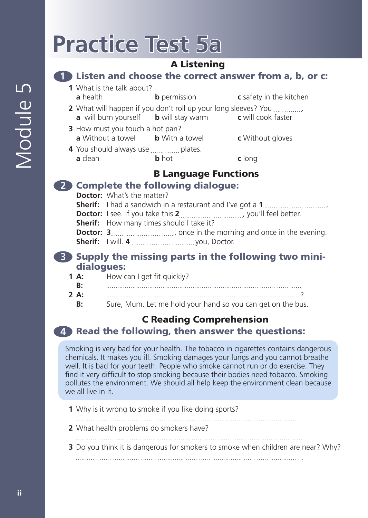# **Practice Test 5a**

## A Listening

#### **1** Listen and choose the correct answer from a, b, or c:

- **1** What is the talk about? **a** health **b** permission **c** safety in the kitchen
- **2** What will happen if you don't roll up your long sleeves? You . **a** will burn yourself **b** will stay warm **c** will cook faster
- **3** How must you touch a hot pan? **a** Without a towel **b** With a towel **c** Without gloves
- **4** You should always use ............... plates. **a** clean **b** hot **c** long

# B Language Functions

### **2** Complete the following dialogue:

**Doctor:** What's the matter?

**Sherif:** I had a sandwich in a restaurant and I've got a **1**. **Doctor:** I see. If you take this 2, was also would feel better. **Sherif:** How many times should I take it? **Doctor: 3** *m a l o <i>n* **c in** the morning and once in the evening.

**Sherif:** I will. 4 *maching and a system you*, Doctor.

#### **3** Supply the missing parts in the following two minidialogues:

- **1 A:** How can I get fit quickly?
- **B:** .
- **2 A:** ?
	- **B:** Sure, Mum. Let me hold your hand so you can get on the bus.

# C Reading Comprehension

# **4** Read the following, then answer the questions:

Smoking is very bad for your health. The tobacco in cigarettes contains dangerous chemicals. It makes you ill. Smoking damages your lungs and you cannot breathe well. It is bad for your teeth. People who smoke cannot run or do exercise. They find it very difficult to stop smoking because their bodies need tobacco. Smoking pollutes the environment. We should all help keep the environment clean because we all live in it.

- **1** Why is it wrong to smoke if you like doing sports?
- 
- **2** What health problems do smokers have?
- **3** Do you think it is dangerous for smokers to smoke when children are near? Why?